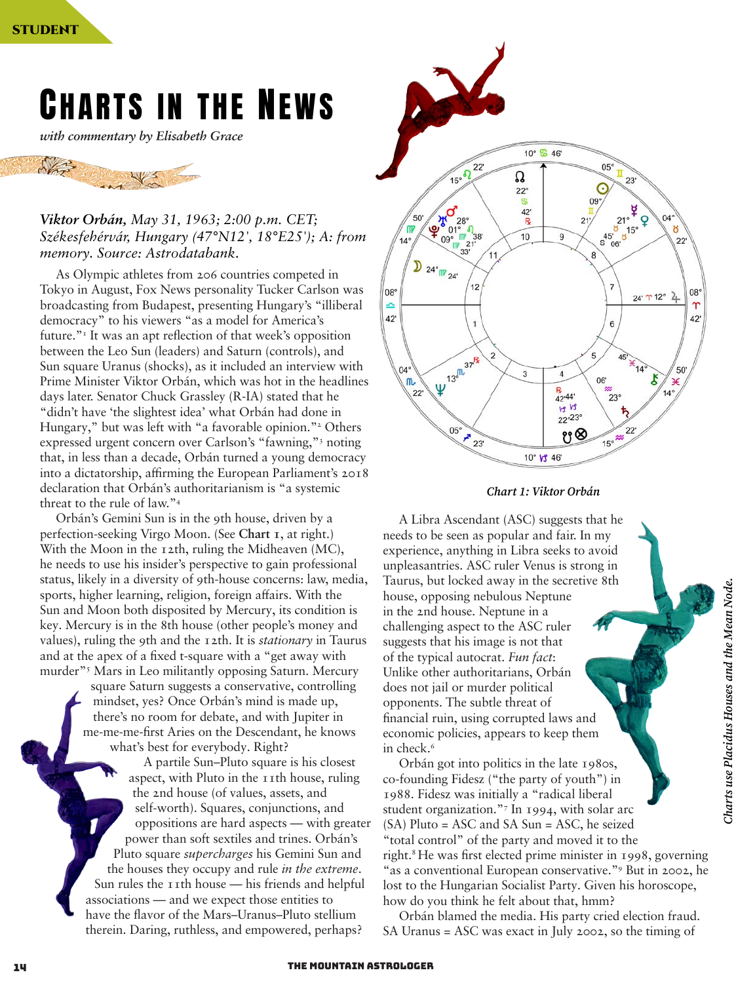# Charts in the News

*with commentary by Elisabeth Grace*



## *Viktor Orbán, May 31, 1963; 2:00 p.m. CET; Székesfehérvár, Hungary (47°N12', 18°E25'); A: from memory. Source: Astrodatabank.*

As Olympic athletes from 206 countries competed in Tokyo in August, Fox News personality Tucker Carlson was broadcasting from Budapest, presenting Hungary's "illiberal democracy" to his viewers "as a model for America's future."<sup>1</sup> It was an apt reflection of that week's opposition between the Leo Sun (leaders) and Saturn (controls), and Sun square Uranus (shocks), as it included an interview with Prime Minister Viktor Orbán, which was hot in the headlines days later. Senator Chuck Grassley (R-IA) stated that he "didn't have 'the slightest idea' what Orbán had done in Hungary," but was left with "a favorable opinion."<sup>2</sup> Others expressed urgent concern over Carlson's "fawning,"3 noting that, in less than a decade, Orbán turned a young democracy into a dictatorship, affirming the European Parliament's 2018 declaration that Orbán's authoritarianism is "a systemic threat to the rule of law."4

Orbán's Gemini Sun is in the 9th house, driven by a perfection-seeking Virgo Moon. (See **Chart 1**, at right.) With the Moon in the 12th, ruling the Midheaven (MC), he needs to use his insider's perspective to gain professional status, likely in a diversity of 9th-house concerns: law, media, sports, higher learning, religion, foreign affairs. With the Sun and Moon both disposited by Mercury, its condition is key. Mercury is in the 8th house (other people's money and values), ruling the 9th and the 12th. It is *stationary* in Taurus and at the apex of a fixed t-square with a "get away with murder"5 Mars in Leo militantly opposing Saturn. Mercury

square Saturn suggests a conservative, controlling mindset, yes? Once Orbán's mind is made up, there's no room for debate, and with Jupiter in me-me-me-first Aries on the Descendant, he knows what's best for everybody. Right?

A partile Sun–Pluto square is his closest aspect, with Pluto in the 11th house, ruling the 2nd house (of values, assets, and self-worth). Squares, conjunctions, and oppositions are hard aspects — with greater power than soft sextiles and trines. Orbán's Pluto square *supercharges* his Gemini Sun and the houses they occupy and rule *in the extreme*. Sun rules the 11th house — his friends and helpful associations — and we expect those entities to have the flavor of the Mars–Uranus–Pluto stellium therein. Daring, ruthless, and empowered, perhaps?





A Libra Ascendant (ASC) suggests that he needs to be seen as popular and fair. In my experience, anything in Libra seeks to avoid unpleasantries. ASC ruler Venus is strong in Taurus, but locked away in the secretive 8th house, opposing nebulous Neptune in the 2nd house. Neptune in a challenging aspect to the ASC ruler suggests that his image is not that of the typical autocrat. *Fun fact*: Unlike other authoritarians, Orbán does not jail or murder political opponents. The subtle threat of financial ruin, using corrupted laws and economic policies, appears to keep them in check.<sup>6</sup>

Orbán got into politics in the late 1980s, co-founding Fidesz ("the party of youth") in 1988. Fidesz was initially a "radical liberal student organization."7 In 1994, with solar arc (SA) Pluto = ASC and SA Sun = ASC, he seized "total control" of the party and moved it to the right.8 He was first elected prime minister in 1998, governing "as a conventional European conservative."<sup>9</sup> But in 2002, he lost to the Hungarian Socialist Party. Given his horoscope, how do you think he felt about that, hmm?

Orbán blamed the media. His party cried election fraud. SA Uranus = ASC was exact in July 2002, so the timing of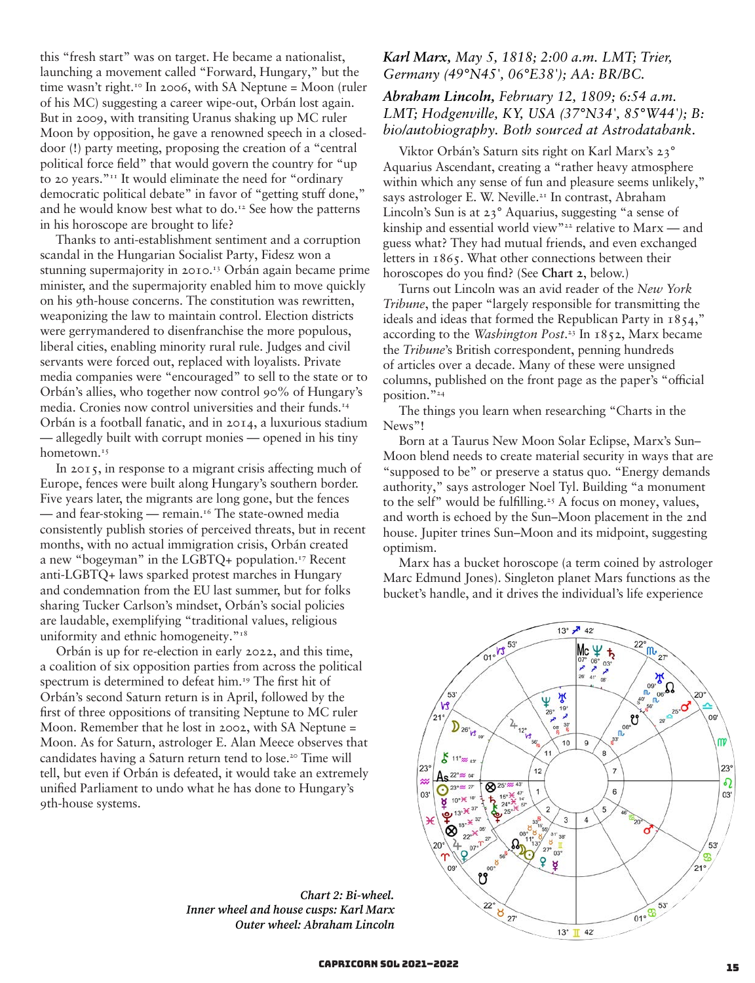this "fresh start" was on target. He became a nationalist, launching a movement called "Forward, Hungary," but the time wasn't right.<sup>10</sup> In 2006, with SA Neptune = Moon (ruler of his MC) suggesting a career wipe-out, Orbán lost again. But in 2009, with transiting Uranus shaking up MC ruler Moon by opposition, he gave a renowned speech in a closeddoor (!) party meeting, proposing the creation of a "central political force field" that would govern the country for "up to 20 years."11 It would eliminate the need for "ordinary democratic political debate" in favor of "getting stuff done," and he would know best what to do.<sup>12</sup> See how the patterns in his horoscope are brought to life?

Thanks to anti-establishment sentiment and a corruption scandal in the Hungarian Socialist Party, Fidesz won a stunning supermajority in 2010.<sup>13</sup> Orbán again became prime minister, and the supermajority enabled him to move quickly on his 9th-house concerns. The constitution was rewritten, weaponizing the law to maintain control. Election districts were gerrymandered to disenfranchise the more populous, liberal cities, enabling minority rural rule. Judges and civil servants were forced out, replaced with loyalists. Private media companies were "encouraged" to sell to the state or to Orbán's allies, who together now control 90% of Hungary's media. Cronies now control universities and their funds.14 Orbán is a football fanatic, and in 2014, a luxurious stadium — allegedly built with corrupt monies — opened in his tiny hometown.<sup>15</sup>

In 2015, in response to a migrant crisis affecting much of Europe, fences were built along Hungary's southern border. Five years later, the migrants are long gone, but the fences — and fear-stoking — remain.<sup>16</sup> The state-owned media consistently publish stories of perceived threats, but in recent months, with no actual immigration crisis, Orbán created a new "bogeyman" in the LGBTQ+ population.17 Recent anti-LGBTQ+ laws sparked protest marches in Hungary and condemnation from the EU last summer, but for folks sharing Tucker Carlson's mindset, Orbán's social policies are laudable, exemplifying "traditional values, religious uniformity and ethnic homogeneity."<sup>18</sup>

Orbán is up for re-election in early 2022, and this time, a coalition of six opposition parties from across the political spectrum is determined to defeat him.<sup>19</sup> The first hit of Orbán's second Saturn return is in April, followed by the first of three oppositions of transiting Neptune to MC ruler Moon. Remember that he lost in 2002, with SA Neptune = Moon. As for Saturn, astrologer E. Alan Meece observes that candidates having a Saturn return tend to lose.<sup>20</sup> Time will tell, but even if Orbán is defeated, it would take an extremely unified Parliament to undo what he has done to Hungary's 9th-house systems.

*Germany (49°N45', 06°E38'); AA: BR/BC. Abraham Lincoln, February 12, 1809; 6:54 a.m.* 

# *LMT; Hodgenville, KY, USA (37°N34', 85°W44'); B: bio/autobiography. Both sourced at Astrodatabank.*

*Karl Marx, May 5, 1818; 2:00 a.m. LMT; Trier,* 

Viktor Orbán's Saturn sits right on Karl Marx's 23° Aquarius Ascendant, creating a "rather heavy atmosphere within which any sense of fun and pleasure seems unlikely," says astrologer E. W. Neville.<sup>21</sup> In contrast, Abraham Lincoln's Sun is at 23° Aquarius, suggesting "a sense of kinship and essential world view"22 relative to Marx — and guess what? They had mutual friends, and even exchanged letters in 1865. What other connections between their horoscopes do you find? (See **Chart 2**, below.)

Turns out Lincoln was an avid reader of the *New York Tribune*, the paper "largely responsible for transmitting the ideals and ideas that formed the Republican Party in 1854," according to the *Washington Post*. 23 In 1852, Marx became the *Tribune*'s British correspondent, penning hundreds of articles over a decade. Many of these were unsigned columns, published on the front page as the paper's "official position."24

The things you learn when researching "Charts in the News"!

Born at a Taurus New Moon Solar Eclipse, Marx's Sun– Moon blend needs to create material security in ways that are "supposed to be" or preserve a status quo. "Energy demands authority," says astrologer Noel Tyl. Building "a monument to the self" would be fulfilling.<sup>25</sup> A focus on money, values, and worth is echoed by the Sun–Moon placement in the 2nd house. Jupiter trines Sun–Moon and its midpoint, suggesting optimism.

Marx has a bucket horoscope (a term coined by astrologer Marc Edmund Jones). Singleton planet Mars functions as the bucket's handle, and it drives the individual's life experience



*Chart 2: Bi-wheel. Inner wheel and house cusps: Karl Marx Outer wheel: Abraham Lincoln*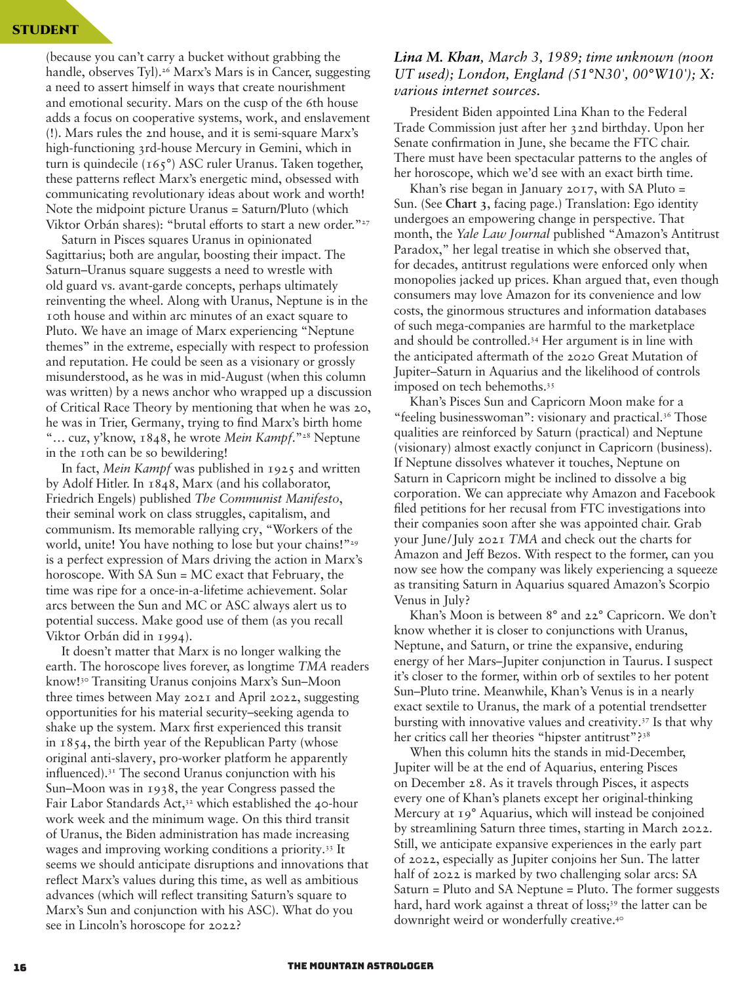#### STUDENT

(because you can't carry a bucket without grabbing the handle, observes Tyl).<sup>26</sup> Marx's Mars is in Cancer, suggesting a need to assert himself in ways that create nourishment and emotional security. Mars on the cusp of the 6th house adds a focus on cooperative systems, work, and enslavement (!). Mars rules the 2nd house, and it is semi-square Marx's high-functioning 3rd-house Mercury in Gemini, which in turn is quindecile (165°) ASC ruler Uranus. Taken together, these patterns reflect Marx's energetic mind, obsessed with communicating revolutionary ideas about work and worth! Note the midpoint picture Uranus = Saturn/Pluto (which Viktor Orbán shares): "brutal efforts to start a new order."<sup>27</sup>

Saturn in Pisces squares Uranus in opinionated Sagittarius; both are angular, boosting their impact. The Saturn–Uranus square suggests a need to wrestle with old guard vs. avant-garde concepts, perhaps ultimately reinventing the wheel. Along with Uranus, Neptune is in the 10th house and within arc minutes of an exact square to Pluto. We have an image of Marx experiencing "Neptune themes" in the extreme, especially with respect to profession and reputation. He could be seen as a visionary or grossly misunderstood, as he was in mid-August (when this column was written) by a news anchor who wrapped up a discussion of Critical Race Theory by mentioning that when he was 20, he was in Trier, Germany, trying to find Marx's birth home "… cuz, y'know, 1848, he wrote *Mein Kampf*."28 Neptune in the 10th can be so bewildering!

In fact, *Mein Kampf* was published in 1925 and written by Adolf Hitler. In 1848, Marx (and his collaborator, Friedrich Engels) published *The Communist Manifesto*, their seminal work on class struggles, capitalism, and communism. Its memorable rallying cry, "Workers of the world, unite! You have nothing to lose but your chains!"<sup>29</sup> is a perfect expression of Mars driving the action in Marx's horoscope. With SA Sun = MC exact that February, the time was ripe for a once-in-a-lifetime achievement. Solar arcs between the Sun and MC or ASC always alert us to potential success. Make good use of them (as you recall Viktor Orbán did in 1994).

It doesn't matter that Marx is no longer walking the earth. The horoscope lives forever, as longtime *TMA* readers know!30 Transiting Uranus conjoins Marx's Sun–Moon three times between May 2021 and April 2022, suggesting opportunities for his material security–seeking agenda to shake up the system. Marx first experienced this transit in 1854, the birth year of the Republican Party (whose original anti-slavery, pro-worker platform he apparently influenced).31 The second Uranus conjunction with his Sun–Moon was in 1938, the year Congress passed the Fair Labor Standards Act,<sup>32</sup> which established the 40-hour work week and the minimum wage. On this third transit of Uranus, the Biden administration has made increasing wages and improving working conditions a priority.33 It seems we should anticipate disruptions and innovations that reflect Marx's values during this time, as well as ambitious advances (which will reflect transiting Saturn's square to Marx's Sun and conjunction with his ASC). What do you see in Lincoln's horoscope for 2022?

## *Lina M. Khan, March 3, 1989; time unknown (noon UT used); London, England (51°N30', 00°W10'); X: various internet sources.*

President Biden appointed Lina Khan to the Federal Trade Commission just after her 32nd birthday. Upon her Senate confirmation in June, she became the FTC chair. There must have been spectacular patterns to the angles of her horoscope, which we'd see with an exact birth time.

Khan's rise began in January 2017, with SA Pluto  $=$ Sun. (See **Chart 3**, facing page.) Translation: Ego identity undergoes an empowering change in perspective. That month, the *Yale Law Journal* published "Amazon's Antitrust Paradox," her legal treatise in which she observed that, for decades, antitrust regulations were enforced only when monopolies jacked up prices. Khan argued that, even though consumers may love Amazon for its convenience and low costs, the ginormous structures and information databases of such mega-companies are harmful to the marketplace and should be controlled.34 Her argument is in line with the anticipated aftermath of the 2020 Great Mutation of Jupiter–Saturn in Aquarius and the likelihood of controls imposed on tech behemoths.<sup>35</sup>

Khan's Pisces Sun and Capricorn Moon make for a "feeling businesswoman": visionary and practical.<sup>36</sup> Those qualities are reinforced by Saturn (practical) and Neptune (visionary) almost exactly conjunct in Capricorn (business). If Neptune dissolves whatever it touches, Neptune on Saturn in Capricorn might be inclined to dissolve a big corporation. We can appreciate why Amazon and Facebook filed petitions for her recusal from FTC investigations into their companies soon after she was appointed chair. Grab your June/July 2021 *TMA* and check out the charts for Amazon and Jeff Bezos. With respect to the former, can you now see how the company was likely experiencing a squeeze as transiting Saturn in Aquarius squared Amazon's Scorpio Venus in July?

Khan's Moon is between 8° and 22° Capricorn. We don't know whether it is closer to conjunctions with Uranus, Neptune, and Saturn, or trine the expansive, enduring energy of her Mars–Jupiter conjunction in Taurus. I suspect it's closer to the former, within orb of sextiles to her potent Sun–Pluto trine. Meanwhile, Khan's Venus is in a nearly exact sextile to Uranus, the mark of a potential trendsetter bursting with innovative values and creativity.37 Is that why her critics call her theories "hipster antitrust"?38

When this column hits the stands in mid-December, Jupiter will be at the end of Aquarius, entering Pisces on December 28. As it travels through Pisces, it aspects every one of Khan's planets except her original-thinking Mercury at 19° Aquarius, which will instead be conjoined by streamlining Saturn three times, starting in March 2022. Still, we anticipate expansive experiences in the early part of 2022, especially as Jupiter conjoins her Sun. The latter half of 2022 is marked by two challenging solar arcs: SA Saturn = Pluto and SA Neptune = Pluto. The former suggests hard, hard work against a threat of loss;<sup>39</sup> the latter can be downright weird or wonderfully creative.40